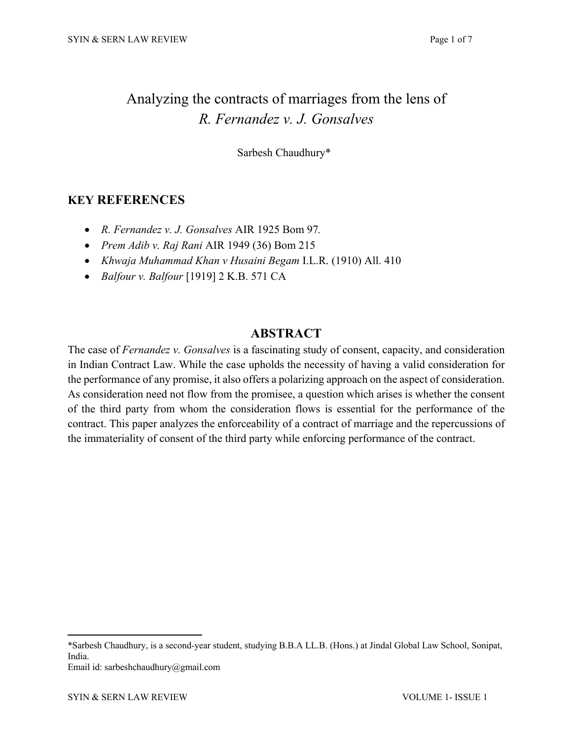# Analyzing the contracts of marriages from the lens of *R. Fernandez v. J. Gonsalves*

Sarbesh Chaudhury\***<sup>1</sup>**

# **KEY REFERENCES**

- *R. Fernandez v. J. Gonsalves* AIR 1925 Bom 97*.*
- *Prem Adib v. Raj Rani* AIR 1949 (36) Bom 215
- *Khwaja Muhammad Khan v Husaini Begam* I.L.R. (1910) All. 410
- *Balfour v. Balfour* [1919] 2 K.B. 571 CA

# **ABSTRACT**

The case of *Fernandez v. Gonsalves* is a fascinating study of consent, capacity, and consideration in Indian Contract Law. While the case upholds the necessity of having a valid consideration for the performance of any promise, it also offers a polarizing approach on the aspect of consideration. As consideration need not flow from the promisee, a question which arises is whether the consent of the third party from whom the consideration flows is essential for the performance of the contract. This paper analyzes the enforceability of a contract of marriage and the repercussions of the immateriality of consent of the third party while enforcing performance of the contract.

Email id: sarbeshchaudhury@gmail.com

<sup>\*</sup>Sarbesh Chaudhury, is a second-year student, studying B.B.A LL.B. (Hons.) at Jindal Global Law School, Sonipat, India.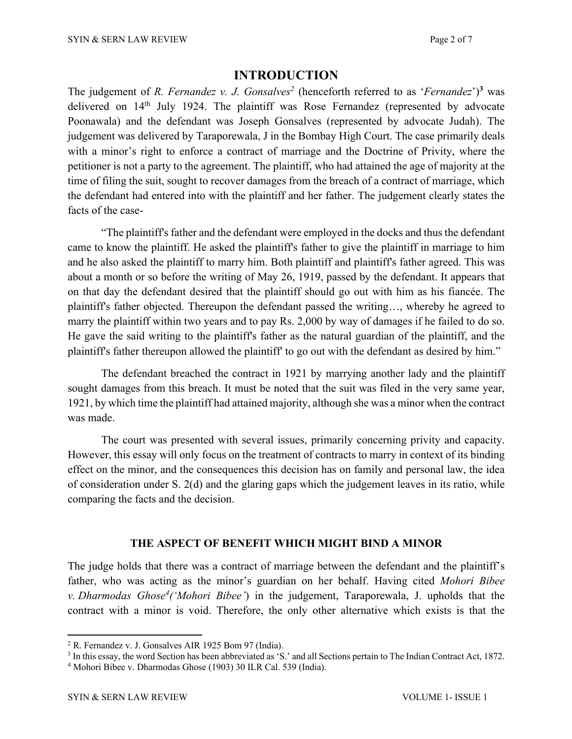### **INTRODUCTION**

The judgement of *R. Fernandez v. J. Gonsalves*<sup>2</sup> (henceforth referred to as '*Fernandez*')<sup>3</sup> was delivered on 14<sup>th</sup> July 1924. The plaintiff was Rose Fernandez (represented by advocate Poonawala) and the defendant was Joseph Gonsalves (represented by advocate Judah). The judgement was delivered by Taraporewala, J in the Bombay High Court. The case primarily deals with a minor's right to enforce a contract of marriage and the Doctrine of Privity, where the petitioner is not a party to the agreement. The plaintiff, who had attained the age of majority at the time of filing the suit, sought to recover damages from the breach of a contract of marriage, which the defendant had entered into with the plaintiff and her father. The judgement clearly states the facts of the case-

"The plaintiff's father and the defendant were employed in the docks and thus the defendant came to know the plaintiff. He asked the plaintiff's father to give the plaintiff in marriage to him and he also asked the plaintiff to marry him. Both plaintiff and plaintiff's father agreed. This was about a month or so before the writing of May 26, 1919, passed by the defendant. It appears that on that day the defendant desired that the plaintiff should go out with him as his fiancée. The plaintiff's father objected. Thereupon the defendant passed the writing…, whereby he agreed to marry the plaintiff within two years and to pay Rs. 2,000 by way of damages if he failed to do so. He gave the said writing to the plaintiff's father as the natural guardian of the plaintiff, and the plaintiff's father thereupon allowed the plaintiff' to go out with the defendant as desired by him."

The defendant breached the contract in 1921 by marrying another lady and the plaintiff sought damages from this breach. It must be noted that the suit was filed in the very same year, 1921, by which time the plaintiff had attained majority, although she was a minor when the contract was made.

The court was presented with several issues, primarily concerning privity and capacity. However, this essay will only focus on the treatment of contracts to marry in context of its binding effect on the minor, and the consequences this decision has on family and personal law, the idea of consideration under S. 2(d) and the glaring gaps which the judgement leaves in its ratio, while comparing the facts and the decision.

#### **THE ASPECT OF BENEFIT WHICH MIGHT BIND A MINOR**

The judge holds that there was a contract of marriage between the defendant and the plaintiff's father, who was acting as the minor's guardian on her behalf. Having cited *Mohori Bibee v. Dharmodas Ghose4 ('Mohori Bibee'*) in the judgement, Taraporewala, J. upholds that the contract with a minor is void. Therefore, the only other alternative which exists is that the

<sup>2</sup> R. Fernandez v. J. Gonsalves AIR 1925 Bom 97 (India).

<sup>3</sup> In this essay, the word Section has been abbreviated as 'S.' and all Sections pertain to The Indian Contract Act, 1872.

<sup>4</sup> Mohori Bibee v. Dharmodas Ghose (1903) 30 ILR Cal. 539 (India).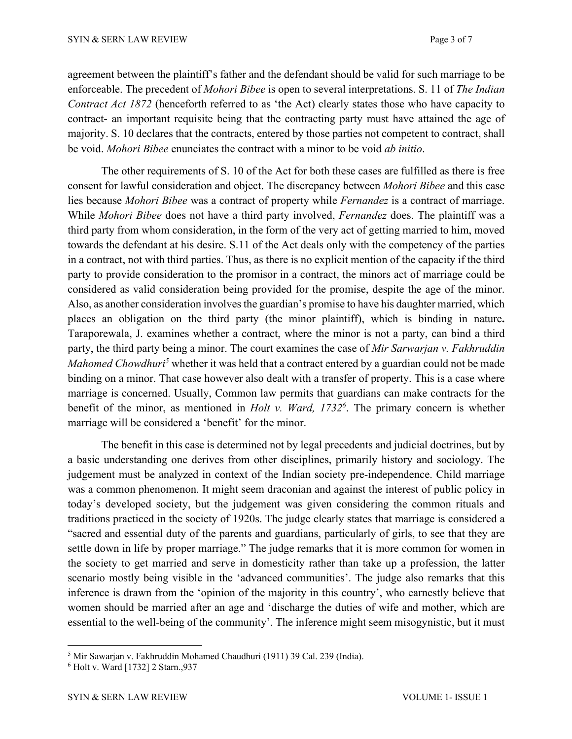agreement between the plaintiff's father and the defendant should be valid for such marriage to be enforceable. The precedent of *Mohori Bibee* is open to several interpretations. S. 11 of *The Indian Contract Act 1872* (henceforth referred to as 'the Act) clearly states those who have capacity to contract- an important requisite being that the contracting party must have attained the age of majority. S. 10 declares that the contracts, entered by those parties not competent to contract, shall be void. *Mohori Bibee* enunciates the contract with a minor to be void *ab initio*.

The other requirements of S. 10 of the Act for both these cases are fulfilled as there is free consent for lawful consideration and object. The discrepancy between *Mohori Bibee* and this case lies because *Mohori Bibee* was a contract of property while *Fernandez* is a contract of marriage. While *Mohori Bibee* does not have a third party involved, *Fernandez* does. The plaintiff was a third party from whom consideration, in the form of the very act of getting married to him, moved towards the defendant at his desire. S.11 of the Act deals only with the competency of the parties in a contract, not with third parties. Thus, as there is no explicit mention of the capacity if the third party to provide consideration to the promisor in a contract, the minors act of marriage could be considered as valid consideration being provided for the promise, despite the age of the minor. Also, as another consideration involves the guardian's promise to have his daughter married, which places an obligation on the third party (the minor plaintiff), which is binding in nature**.** Taraporewala, J. examines whether a contract, where the minor is not a party, can bind a third party, the third party being a minor. The court examines the case of *Mir Sarwarjan v. Fakhruddin Mahomed Chowdhuri<sup>5</sup>* whether it was held that a contract entered by a guardian could not be made binding on a minor. That case however also dealt with a transfer of property. This is a case where marriage is concerned. Usually, Common law permits that guardians can make contracts for the benefit of the minor, as mentioned in *Holt v. Ward, 17326*. The primary concern is whether marriage will be considered a 'benefit' for the minor.

The benefit in this case is determined not by legal precedents and judicial doctrines, but by a basic understanding one derives from other disciplines, primarily history and sociology. The judgement must be analyzed in context of the Indian society pre-independence. Child marriage was a common phenomenon. It might seem draconian and against the interest of public policy in today's developed society, but the judgement was given considering the common rituals and traditions practiced in the society of 1920s. The judge clearly states that marriage is considered a "sacred and essential duty of the parents and guardians, particularly of girls, to see that they are settle down in life by proper marriage." The judge remarks that it is more common for women in the society to get married and serve in domesticity rather than take up a profession, the latter scenario mostly being visible in the 'advanced communities'. The judge also remarks that this inference is drawn from the 'opinion of the majority in this country', who earnestly believe that women should be married after an age and 'discharge the duties of wife and mother, which are essential to the well-being of the community'. The inference might seem misogynistic, but it must

<sup>5</sup> Mir Sawarjan v. Fakhruddin Mohamed Chaudhuri (1911) 39 Cal. 239 (India). 6 Holt v. Ward [1732] 2 Starn.,937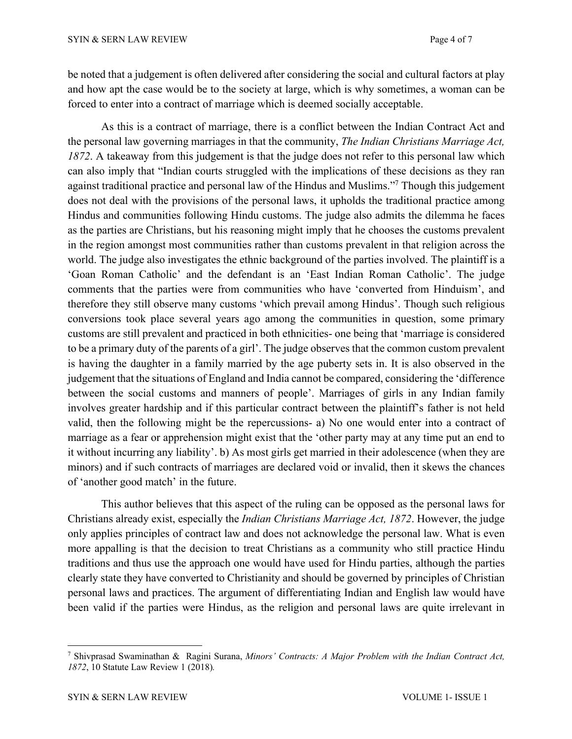be noted that a judgement is often delivered after considering the social and cultural factors at play and how apt the case would be to the society at large, which is why sometimes, a woman can be forced to enter into a contract of marriage which is deemed socially acceptable.

As this is a contract of marriage, there is a conflict between the Indian Contract Act and the personal law governing marriages in that the community, *The Indian Christians Marriage Act, 1872*. A takeaway from this judgement is that the judge does not refer to this personal law which can also imply that "Indian courts struggled with the implications of these decisions as they ran against traditional practice and personal law of the Hindus and Muslims."7 Though this judgement does not deal with the provisions of the personal laws, it upholds the traditional practice among Hindus and communities following Hindu customs. The judge also admits the dilemma he faces as the parties are Christians, but his reasoning might imply that he chooses the customs prevalent in the region amongst most communities rather than customs prevalent in that religion across the world. The judge also investigates the ethnic background of the parties involved. The plaintiff is a 'Goan Roman Catholic' and the defendant is an 'East Indian Roman Catholic'. The judge comments that the parties were from communities who have 'converted from Hinduism', and therefore they still observe many customs 'which prevail among Hindus'. Though such religious conversions took place several years ago among the communities in question, some primary customs are still prevalent and practiced in both ethnicities- one being that 'marriage is considered to be a primary duty of the parents of a girl'. The judge observes that the common custom prevalent is having the daughter in a family married by the age puberty sets in. It is also observed in the judgement that the situations of England and India cannot be compared, considering the 'difference between the social customs and manners of people'. Marriages of girls in any Indian family involves greater hardship and if this particular contract between the plaintiff's father is not held valid, then the following might be the repercussions- a) No one would enter into a contract of marriage as a fear or apprehension might exist that the 'other party may at any time put an end to it without incurring any liability'. b) As most girls get married in their adolescence (when they are minors) and if such contracts of marriages are declared void or invalid, then it skews the chances of 'another good match' in the future.

This author believes that this aspect of the ruling can be opposed as the personal laws for Christians already exist, especially the *Indian Christians Marriage Act, 1872*. However, the judge only applies principles of contract law and does not acknowledge the personal law. What is even more appalling is that the decision to treat Christians as a community who still practice Hindu traditions and thus use the approach one would have used for Hindu parties, although the parties clearly state they have converted to Christianity and should be governed by principles of Christian personal laws and practices. The argument of differentiating Indian and English law would have been valid if the parties were Hindus, as the religion and personal laws are quite irrelevant in

<sup>7</sup> Shivprasad Swaminathan & Ragini Surana, *Minors' Contracts: A Major Problem with the Indian Contract Act, 1872*, 10 Statute Law Review 1 (2018)*.*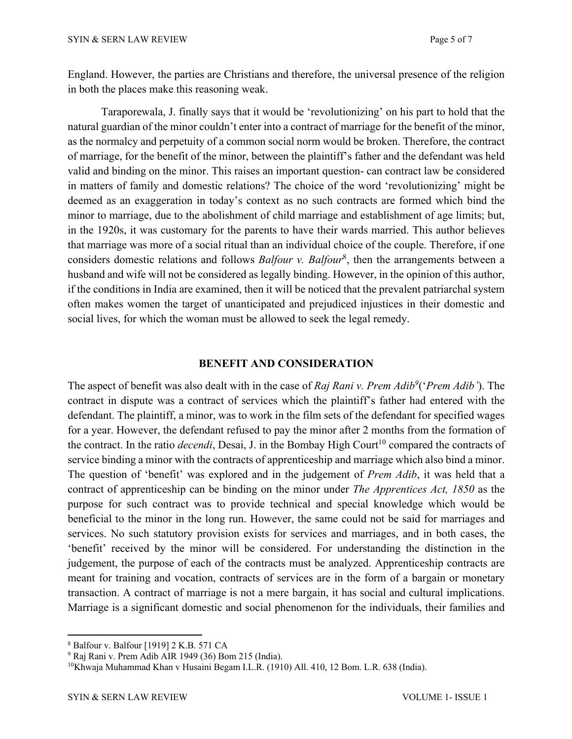England. However, the parties are Christians and therefore, the universal presence of the religion in both the places make this reasoning weak.

Taraporewala, J. finally says that it would be 'revolutionizing' on his part to hold that the natural guardian of the minor couldn't enter into a contract of marriage for the benefit of the minor, as the normalcy and perpetuity of a common social norm would be broken. Therefore, the contract of marriage, for the benefit of the minor, between the plaintiff's father and the defendant was held valid and binding on the minor. This raises an important question- can contract law be considered in matters of family and domestic relations? The choice of the word 'revolutionizing' might be deemed as an exaggeration in today's context as no such contracts are formed which bind the minor to marriage, due to the abolishment of child marriage and establishment of age limits; but, in the 1920s, it was customary for the parents to have their wards married. This author believes that marriage was more of a social ritual than an individual choice of the couple. Therefore, if one considers domestic relations and follows *Balfour v. Balfour*<sup>8</sup>, then the arrangements between a husband and wife will not be considered as legally binding. However, in the opinion of this author, if the conditions in India are examined, then it will be noticed that the prevalent patriarchal system often makes women the target of unanticipated and prejudiced injustices in their domestic and social lives, for which the woman must be allowed to seek the legal remedy.

#### **BENEFIT AND CONSIDERATION**

The aspect of benefit was also dealt with in the case of *Raj Rani v. Prem Adib9*('*Prem Adib'*). The contract in dispute was a contract of services which the plaintiff's father had entered with the defendant. The plaintiff, a minor, was to work in the film sets of the defendant for specified wages for a year. However, the defendant refused to pay the minor after 2 months from the formation of the contract. In the ratio *decendi*, Desai, J. in the Bombay High Court<sup>10</sup> compared the contracts of service binding a minor with the contracts of apprenticeship and marriage which also bind a minor. The question of 'benefit' was explored and in the judgement of *Prem Adib*, it was held that a contract of apprenticeship can be binding on the minor under *The Apprentices Act, 1850* as the purpose for such contract was to provide technical and special knowledge which would be beneficial to the minor in the long run. However, the same could not be said for marriages and services. No such statutory provision exists for services and marriages, and in both cases, the 'benefit' received by the minor will be considered. For understanding the distinction in the judgement, the purpose of each of the contracts must be analyzed. Apprenticeship contracts are meant for training and vocation, contracts of services are in the form of a bargain or monetary transaction. A contract of marriage is not a mere bargain, it has social and cultural implications. Marriage is a significant domestic and social phenomenon for the individuals, their families and

<sup>8</sup> Balfour v. Balfour [1919] 2 K.B. 571 CA

<sup>9</sup> Raj Rani v. Prem Adib AIR 1949 (36) Bom 215 (India).

<sup>10</sup>Khwaja Muhammad Khan v Husaini Begam I.L.R. (1910) All. 410, 12 Bom. L.R. 638 (India).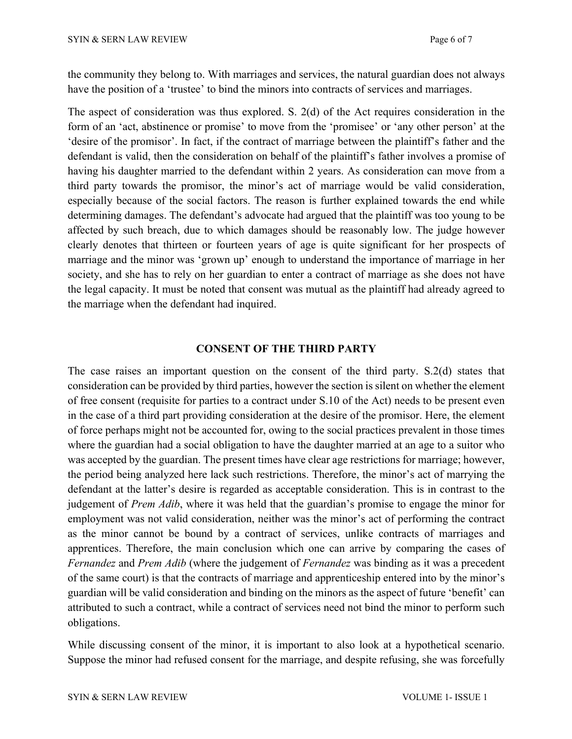the community they belong to. With marriages and services, the natural guardian does not always have the position of a 'trustee' to bind the minors into contracts of services and marriages.

The aspect of consideration was thus explored. S. 2(d) of the Act requires consideration in the form of an 'act, abstinence or promise' to move from the 'promisee' or 'any other person' at the 'desire of the promisor'. In fact, if the contract of marriage between the plaintiff's father and the defendant is valid, then the consideration on behalf of the plaintiff's father involves a promise of having his daughter married to the defendant within 2 years. As consideration can move from a third party towards the promisor, the minor's act of marriage would be valid consideration, especially because of the social factors. The reason is further explained towards the end while determining damages. The defendant's advocate had argued that the plaintiff was too young to be affected by such breach, due to which damages should be reasonably low. The judge however clearly denotes that thirteen or fourteen years of age is quite significant for her prospects of marriage and the minor was 'grown up' enough to understand the importance of marriage in her society, and she has to rely on her guardian to enter a contract of marriage as she does not have the legal capacity. It must be noted that consent was mutual as the plaintiff had already agreed to the marriage when the defendant had inquired.

### **CONSENT OF THE THIRD PARTY**

The case raises an important question on the consent of the third party. S.2(d) states that consideration can be provided by third parties, however the section is silent on whether the element of free consent (requisite for parties to a contract under S.10 of the Act) needs to be present even in the case of a third part providing consideration at the desire of the promisor. Here, the element of force perhaps might not be accounted for, owing to the social practices prevalent in those times where the guardian had a social obligation to have the daughter married at an age to a suitor who was accepted by the guardian. The present times have clear age restrictions for marriage; however, the period being analyzed here lack such restrictions. Therefore, the minor's act of marrying the defendant at the latter's desire is regarded as acceptable consideration. This is in contrast to the judgement of *Prem Adib*, where it was held that the guardian's promise to engage the minor for employment was not valid consideration, neither was the minor's act of performing the contract as the minor cannot be bound by a contract of services, unlike contracts of marriages and apprentices. Therefore, the main conclusion which one can arrive by comparing the cases of *Fernandez* and *Prem Adib* (where the judgement of *Fernandez* was binding as it was a precedent of the same court) is that the contracts of marriage and apprenticeship entered into by the minor's guardian will be valid consideration and binding on the minors as the aspect of future 'benefit' can attributed to such a contract, while a contract of services need not bind the minor to perform such obligations.

While discussing consent of the minor, it is important to also look at a hypothetical scenario. Suppose the minor had refused consent for the marriage, and despite refusing, she was forcefully